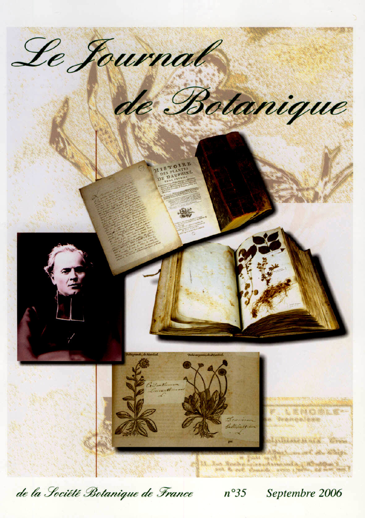

de la Société Botanique de France

 $n^{\circ}35$ Septembre 2006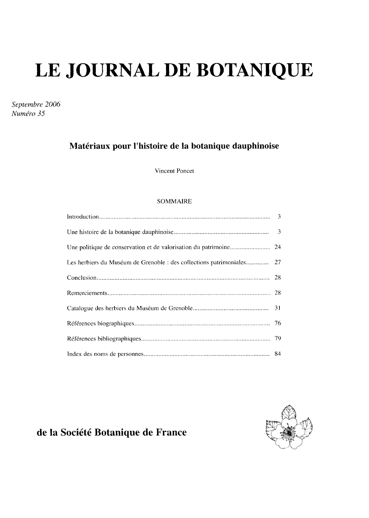# LE JOURNAL DE BOTANIQUE

Septembre 2006 Numéro 35

## Matériaux pour l'histoire de la botanique dauphinoise

Vincent Poncet

#### **SOMMAIRE**